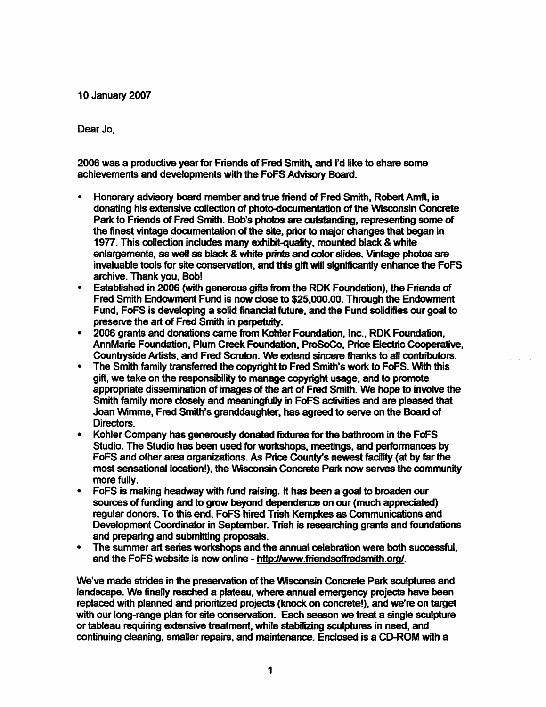10 January 2007

Dear Jo,

2006 was a productive year for Friends of Fred Smith, and I'd like to share some achievements and developments with the FoFS Advisory Board.

- Honorary advisory board member and true fiiend of Fred Smith, Robert Amfl, is donating his extensive collection of photo-documentation of the Wisconsin Concrete Park to Friends of Fred Smith. Bob's photos are outstanding, representing some of the finest vintage documentation of the site, prior to major changes that began in 1977. This collection includes many exhibit-quality, mounted black & white enlargements, as well as black & white prints and color slides. Vintage photos are invaluable tools for site conservation, and this gift will significantly enhance the FoFS archive. Thank you, Bob!
- Established in 2006 (with generous gifts finom the RDK Foundation), the Friends of Fred Smith Endowment Fund is now dose to \$25,000.00. Through the Endowment Fund, FoFS is developing a solid financial future, and the Fund solidifies our goal to
- 2006 grants and donations came from Kohler Foundation, Inc., RDK Foundation, AnnMarie Foundation, Plum Creek Foundation. ProSoCo, Price Electric Cooperative.
- The Smith family transferred the copyright to Fred Smith's work to FoFS. With this gift, we take on the responsibility to manage copyright usage, and to promote appropriate dissemination of images of the art of Fred Smith. We hope to involve the Smith family more closely and meaningfully in FoFS activities and are pleased that Joan Wimme, Fred Smith's granddaughter, has agreed to serve on the Board of Directors.
- Kohler Company has generously donated fixtures for the bathroom in the FoFS Studio. The Studio has been used for workshops, meetings, and performances by FoFS and other area organizations. As Price County's newest facility (at by far the most sensational location!), the Wisconsin Concrete Park now serves the community more fully.
- FoFS is making headway with fund raising. It has been a goal to broaden our sources of funding and to grow beyond dependence on our (much appreciated) regular donors. To this end. FoFS hired Trish Kempkes as Communications and Development Coordinator in September. Trish is researching grants and foundations and preparing and submitting proposals.
- The summer art series workshops and the annual celebration were both successful, and the FoFS website is now online - http://www.friendsoffredsmith.org/.

We've made strides in the preservation of the Wisconsin Concrete Park sculptures and landscape. We finally reached a plateau, where annual emergency projects have been replaced with planned and prioritized projects (knock on concrete!), and we're on target with our long-range plan for site conservation. Each season we treat a single sculpture or tableau requiring extensive treatment, while stabilizing sculptures in need, and continuing cleaning, smaller repairs, and maintenance. Enclosed is a CD-ROM with a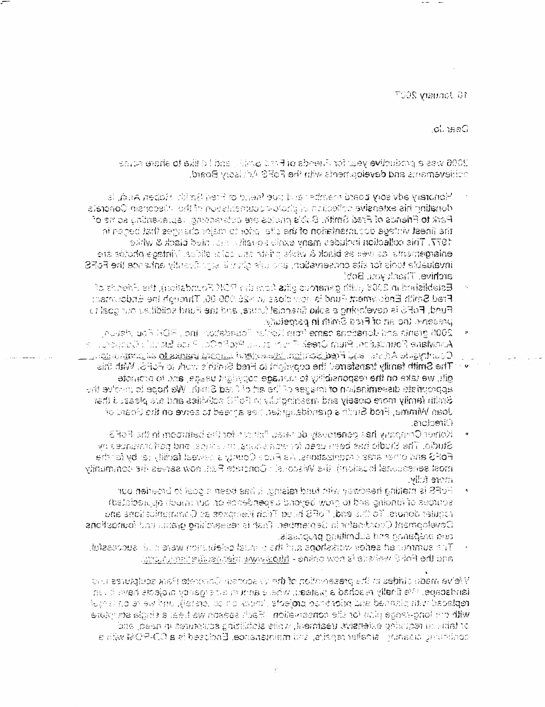10 January 2007

cunsaG

2006 was a productive vear for Alenda of Frad Shake, and I diffice to share squae theogypacking and dayeloginating the FoFS Adjuscripted:

- Honorary advisory board to samber and the facility of Fred Smith. Robert Anich, is, donating his extensive collection of choic-couragents of the Misconsin Concrete. Park to Priends of Fred Smith, Buble pholos are outskarting, representing so he of the finest vintage documentation of the site and relation changes that becan in 1977. This collection includes many exists couglists are the diack & while enlargements, as well as black & with printing the color office. Nintage photos are invaluable tools for site conservation, and clientify at strictions the phase the FoRS archive. Thank you, Bob!
- **Batefished in 2003** with generous gits from the ROM Foundation), the Friends of Frad Smith Endowmedt Fund is now close to >26,990.00. Through the Endowment Fund, FoFS is developing a solid financial turna, and the Fund sciiditize our goal to presente the art of Fraid Smith in perpetuity.
- 2006 granic and densions came from Keiter Foundation, Inc., FDR Foundation Aproviane Pottriction, Pium Oreek Polonica und ProCo. Pace Electric Opportunic  $\mathsf{Cov}$  thresh is Advise and Fred Sproght implies the property steps of all material  $\mathsf{C}$
- The Smith family transferred the convicting Fred Striph's work to PoPS. With this gift, we take on the responsibility to manage copying it usses, and to promote appropriate dissemination of mages of the art of thad Smith. We hope to profee the Gmith femily more closely and meaninghally in FoFG polinides and are pleased that Joan Wimme, Fred Strift's pranddaughter, hes ameed to serve on the beard of Directors.
- Kohier Company has penerosly doneses finities for the bathroom in the FoF3. Studio. The Studio has been used for workspues, musicines, and pariormanues by FoRS and other area comizations, As Pace County a newest facility (at by facitive most sensational topsicht), the Wardon's concrete Pad, now serves the community more follw.
- PoRS is making headway with fund raising. It has been a goal of boaden our sources of (unaing and to grow beyend uspendence on our (much apudated). requier donors. To this end, PoRS hild Chich Kenneres as Communications and Development Ccordinator in Geniember. That is researching grant, and foundations, and preparing and submitting propossis.
- The summore ad seties workshops and that chauda calebration ware cold successful. and the PoPC welves is now online - shippywww.pigc.org/editions.com

Views made stripped in the preservation of the viewsports in Conductor Resk sculptures und iandacape. <sup>no</sup>e finally reached a mateau, whele annumentes organizo orcients have buyn replaced with planked and prioribase projects classic and collectely, und we're on larget with one long-reage plan for sile conservation. Each season we hear a single acceptore. or table su requaring ext**ensive tradme**nt, while stabilizing scut*mance* in need, and continuing cleaniar in smaller repairs, and maintenances. Enclosed is a CD-ROW with a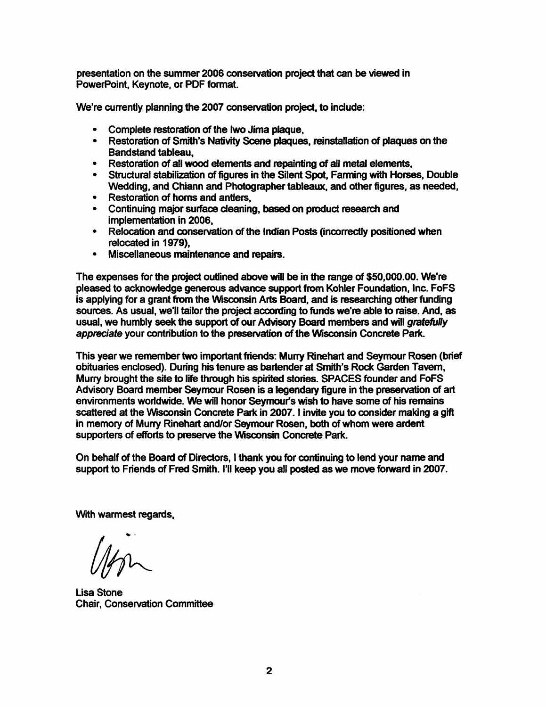presentation on the summer 2006 conservation project that can be viewed in PowerPoint, Keynote, or PDF format.

We're currently planning the 2007 conservation project, to indude:

- Complete restoration of the Iwo Jima plaque.
- Restoration of Smith's Nativity Scene plaques, reinstallation of plaques on the Bandstand tableau,
- Restoration of all wood elements and repainting of all metal elements.
- Structural stabilization of figures in the Silent Spot, Farming with Horses, Double Wedding, and Chiann and Photographer tableaux, and other figures, as needed,<br>• Restoration of horns and antlers,
- 
- Continuing major surface cleaning, based on product research and
- implementation in 2006,<br>• Relocation and conservation of the Indian Posts (incorrectly positioned when relocated in 1979), • Miscellaneous maintenance and repairs.
- 

The expenses for the project outlined above will be in the range of \$50,000.00. We're pleased to acknowledge generous advance support from Kohler Foundation, Inc. FoFS is applying for a grant from the Wisconsin Arts Board, and is researching other funding sources. As usual, we'll tailor the project according to funds we're able to raise. And, as usual, we humbly seek the support of our Advisory Board members and will gratefully appreciate your contribution to the preservation of the Wisconsin Concrete Park.

This year we remember two important friends: Murry Rinehart and Seymour Rosen (brief obituaries enclosed). During his tenure as bartender at Smith's Rock Garden Tavem, Murry brought the site to life through his spirited stories. SPACES founder and FoFS Advisory Board member Seymour Rosen is a legendary figure in the preservation of art environments worldwide. We will honor Seymour's wish to have some of his remains scattered at the Wisconsin Concrete Park in 2007. I invite you to consider making a gift in memory of Murry Rinehart and/or Seymour Rosen, both of whom were ardent supporters of efforts to preserve the Wisconsin Concrete Park.

On behalf of the Board of Directors, I thank you for continuing to lend your name and support to Friends of Fred Smith. I'll keep you all posted as we move fonward in 2007.

With warmest regards.

Lisa Stone Chair, Conservation Committee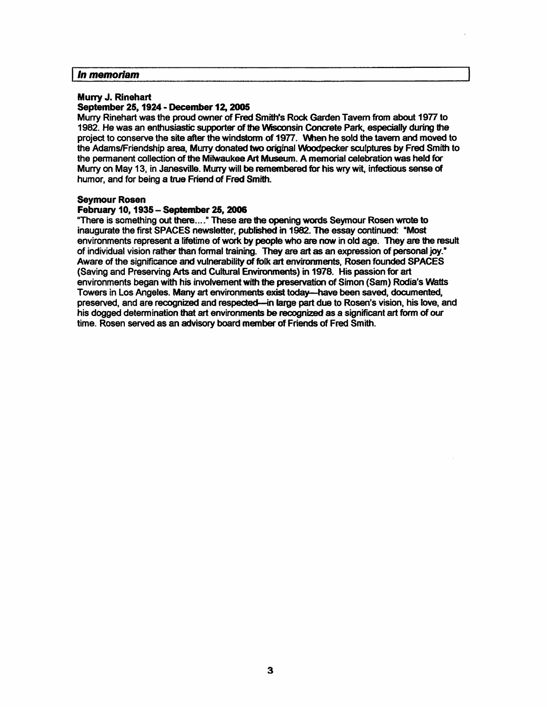#### In memoriam

#### Murry J. Rinehart September 25,1924 - December 12,2005

Murry Rinehart was the proud ovwier of Fred Smith's Rock Garden Tavern from about 1977 to 1982. He was an enthusiastic supporter of the Wisconsin Concrete Park, especially during the project to conserve the site after the windstorm of 1977. When he sold the tavern and moved to the Adams/Friendship area. Murry donated two original Woodpecker sculptures by Fred Smith to the permanent collection of the Milwaukee Art Museum. A memorial celebration was held for Murry on May 13, in Janesville. Murry will be remembered for his wry wit, infectious sense of humor, and for being a true Friend of Fred Smith.

# Seymour Rosen<br>February 10, 1935 – September 25, 2006 February 10,1935 - September 25,2006

"There is something out there...." These are the opening words Seymour Rosen wrote to inaugurate the first SPACES newsletter, published in 1982. The essay continued: "Most environments represent a lifetime of work by people who are now in old age. They are the result of individual vision rather than formal training. They are art as an expression of personal joy." Aware of the significance and vulnerability of folk art environments, Rosen founded SPACES<br>(Saving and Preserving Arts and Cultural Environments) in 1978. His passion for art (Saving and Preserving Arts and Cultural Environmertts) in 1978. His passion for art environments began with his involvement with the preservation of Simon (Sam) Rodia's Watts Towers in Los Angeles. Many art environments exist today—have been saved, documented, preserved, and are recognized and respected—in large part due to Rosen's vision, his love, and his dogged determination that art environments be recognized as a significant art form of oir time. Rosen served as an advisory board member of Friends of Fred Smith.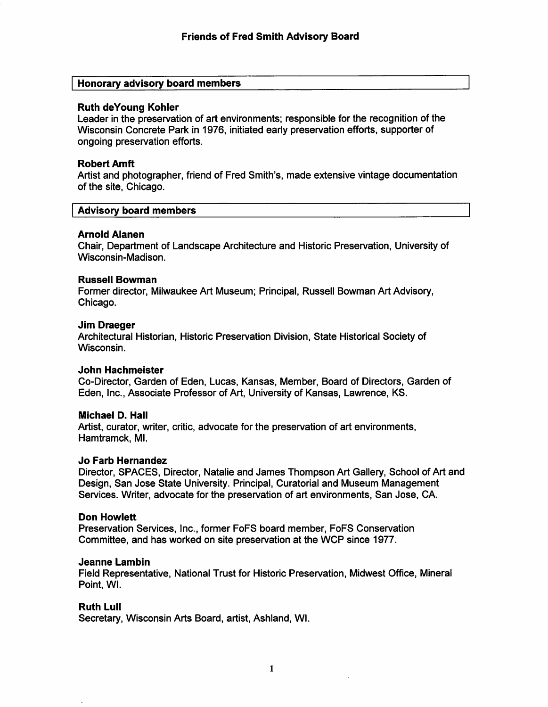## Honorary advisory board members

#### Ruth deYoung Kohler

Leader in the preservation of art environments; responsible for the recognition of the Wisconsin Concrete Park in 1976, initiated early preservation efforts, supporter of ongoing preservation efforts.

# **Robert Amft**

Artist and photographer, friend of Fred Smith's, made extensive vintage documentation of the site, Chicago.

#### Advisory board members

#### Arnold Alanen

Chair, Department of Landscape Architecture and Historic Preservation, University of Wisconsin-Madison.

#### **Russell Bowman**

Former director, Milwaukee Art Museum; Principal, Russell Bowman Art Advisory, Chicago.

#### Jim Draeger

Architectural Historian, Historic Preservation Division, State Historical Society of Wisconsin.

#### **John Hachmeister**

Co-Director, Garden of Eden, Lucas, Kansas, Member, Board of Directors, Garden of Eden, Inc., Associate Professor of Art, University of Kansas, Lawrence, KS.

#### Michael D. Hall

Artist, curator, writer, critic, advocate for the preservation of art environments, Hamtramck, Ml.

#### Jo Farb Hernandez

Director, SPACES, Director, Natalie and James Thompson Art Gallery, School of Art and Design, San Jose State University. Principal, Curatorial and Museum Management Services. Writer, advocate for the preservation of art environments, San Jose, CA.

#### Don Howlett

Preservation Services, Inc., former FoFS board member, FoFS Conservation Committee, and has worked on site preservation at the WCP since 1977.

#### Jeanne Lambin

Field Representative, National Trust for Historic Preservation, Midwest Office, Mineral Point, Wl.

#### **Ruth Lull**

Secretary, Wisconsin Arts Board, artist, Ashland, Wl.